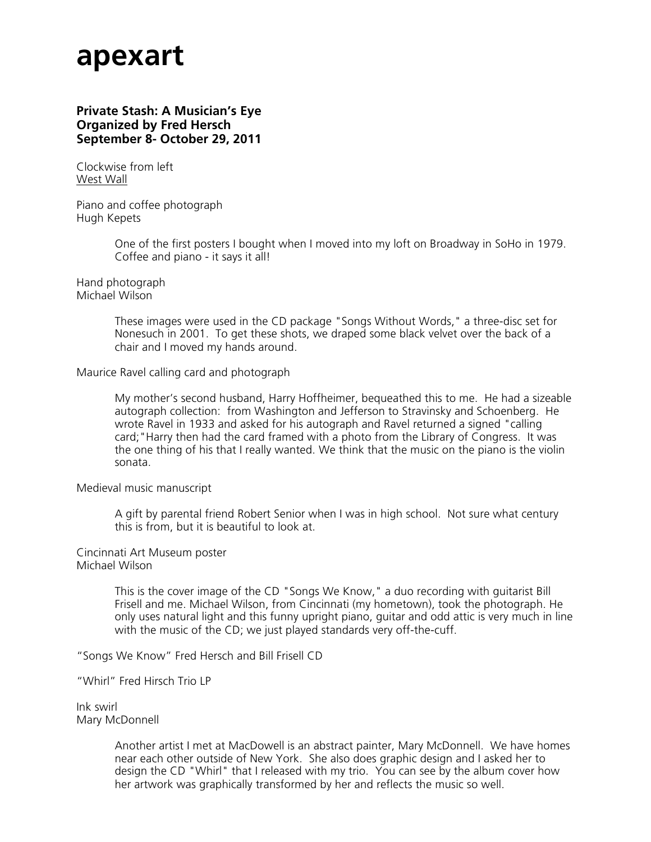# **apexart**

# **Private Stash: A Musician's Eye Organized by Fred Hersch September 8- October 29, 2011**

Clockwise from left West Wall

Piano and coffee photograph Hugh Kepets

> One of the first posters I bought when I moved into my loft on Broadway in SoHo in 1979. Coffee and piano - it says it all!

Hand photograph Michael Wilson

> These images were used in the CD package "Songs Without Words," a three-disc set for Nonesuch in 2001. To get these shots, we draped some black velvet over the back of a chair and I moved my hands around.

Maurice Ravel calling card and photograph

My mother's second husband, Harry Hoffheimer, bequeathed this to me. He had a sizeable autograph collection: from Washington and Jefferson to Stravinsky and Schoenberg. He wrote Ravel in 1933 and asked for his autograph and Ravel returned a signed "calling card;"Harry then had the card framed with a photo from the Library of Congress. It was the one thing of his that I really wanted. We think that the music on the piano is the violin sonata.

Medieval music manuscript

A gift by parental friend Robert Senior when I was in high school. Not sure what century this is from, but it is beautiful to look at.

Cincinnati Art Museum poster Michael Wilson

> This is the cover image of the CD "Songs We Know," a duo recording with guitarist Bill Frisell and me. Michael Wilson, from Cincinnati (my hometown), took the photograph. He only uses natural light and this funny upright piano, guitar and odd attic is very much in line with the music of the CD; we just played standards very off-the-cuff.

"Songs We Know" Fred Hersch and Bill Frisell CD

"Whirl" Fred Hirsch Trio LP

Ink swirl Mary McDonnell

> Another artist I met at MacDowell is an abstract painter, Mary McDonnell. We have homes near each other outside of New York. She also does graphic design and I asked her to design the CD "Whirl" that I released with my trio. You can see by the album cover how her artwork was graphically transformed by her and reflects the music so well.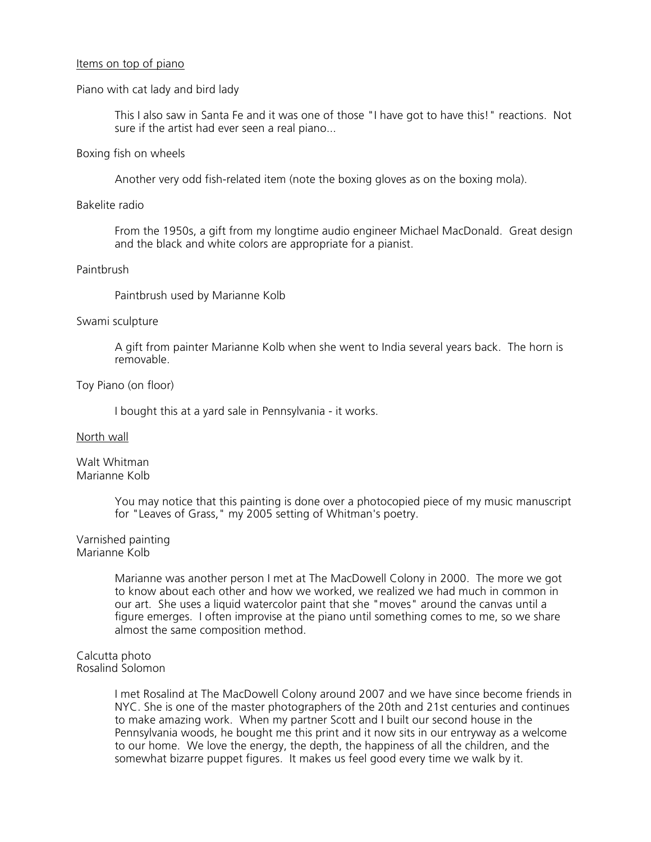### Items on top of piano

### Piano with cat lady and bird lady

This I also saw in Santa Fe and it was one of those "I have got to have this!" reactions. Not sure if the artist had ever seen a real piano...

### Boxing fish on wheels

Another very odd fish-related item (note the boxing gloves as on the boxing mola).

### Bakelite radio

From the 1950s, a gift from my longtime audio engineer Michael MacDonald. Great design and the black and white colors are appropriate for a pianist.

# Paintbrush

Paintbrush used by Marianne Kolb

# Swami sculpture

A gift from painter Marianne Kolb when she went to India several years back. The horn is removable.

# Toy Piano (on floor)

I bought this at a yard sale in Pennsylvania - it works.

### North wall

Walt Whitman Marianne Kolb

> You may notice that this painting is done over a photocopied piece of my music manuscript for "Leaves of Grass," my 2005 setting of Whitman's poetry.

### Varnished painting Marianne Kolb

Marianne was another person I met at The MacDowell Colony in 2000. The more we got to know about each other and how we worked, we realized we had much in common in our art. She uses a liquid watercolor paint that she "moves" around the canvas until a figure emerges. I often improvise at the piano until something comes to me, so we share almost the same composition method.

### Calcutta photo Rosalind Solomon

I met Rosalind at The MacDowell Colony around 2007 and we have since become friends in NYC. She is one of the master photographers of the 20th and 21st centuries and continues to make amazing work. When my partner Scott and I built our second house in the Pennsylvania woods, he bought me this print and it now sits in our entryway as a welcome to our home. We love the energy, the depth, the happiness of all the children, and the somewhat bizarre puppet figures. It makes us feel good every time we walk by it.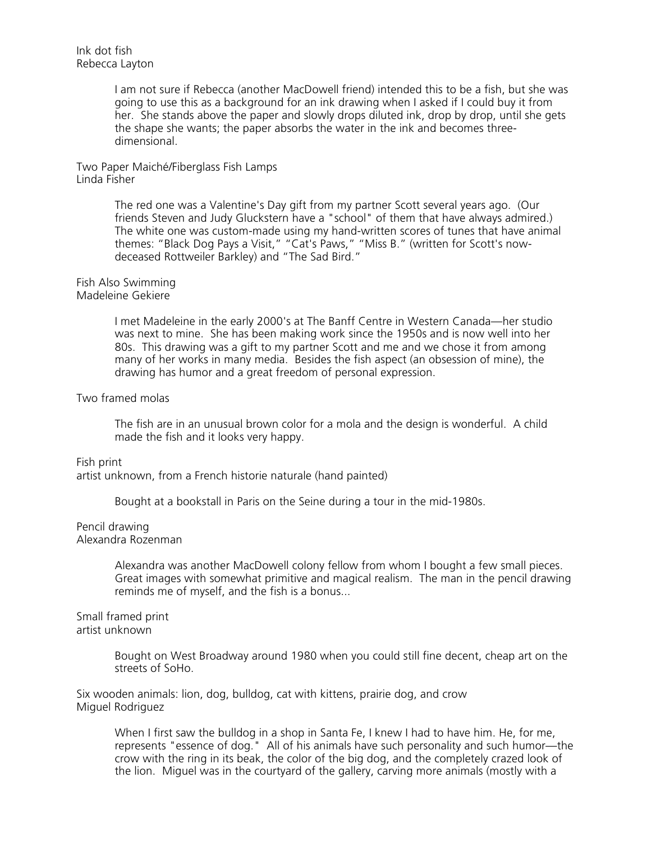I am not sure if Rebecca (another MacDowell friend) intended this to be a fish, but she was going to use this as a background for an ink drawing when I asked if I could buy it from her. She stands above the paper and slowly drops diluted ink, drop by drop, until she gets the shape she wants; the paper absorbs the water in the ink and becomes threedimensional.

Two Paper Maiché/Fiberglass Fish Lamps Linda Fisher

> The red one was a Valentine's Day gift from my partner Scott several years ago. (Our friends Steven and Judy Gluckstern have a "school" of them that have always admired.) The white one was custom-made using my hand-written scores of tunes that have animal themes: "Black Dog Pays a Visit," "Cat's Paws," "Miss B." (written for Scott's nowdeceased Rottweiler Barkley) and "The Sad Bird."

#### Fish Also Swimming Madeleine Gekiere

I met Madeleine in the early 2000's at The Banff Centre in Western Canada—her studio was next to mine. She has been making work since the 1950s and is now well into her 80s. This drawing was a gift to my partner Scott and me and we chose it from among many of her works in many media. Besides the fish aspect (an obsession of mine), the drawing has humor and a great freedom of personal expression.

### Two framed molas

The fish are in an unusual brown color for a mola and the design is wonderful. A child made the fish and it looks very happy.

Fish print artist unknown, from a French historie naturale (hand painted)

Bought at a bookstall in Paris on the Seine during a tour in the mid-1980s.

# Pencil drawing

Alexandra Rozenman

Alexandra was another MacDowell colony fellow from whom I bought a few small pieces. Great images with somewhat primitive and magical realism. The man in the pencil drawing reminds me of myself, and the fish is a bonus...

Small framed print artist unknown

> Bought on West Broadway around 1980 when you could still fine decent, cheap art on the streets of SoHo.

Six wooden animals: lion, dog, bulldog, cat with kittens, prairie dog, and crow Miguel Rodriguez

When I first saw the bulldog in a shop in Santa Fe, I knew I had to have him. He, for me, represents "essence of dog." All of his animals have such personality and such humor—the crow with the ring in its beak, the color of the big dog, and the completely crazed look of the lion. Miguel was in the courtyard of the gallery, carving more animals (mostly with a